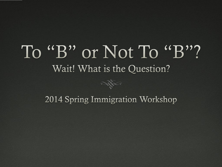# To "B" or Not To "B"?

#### Wait! What is the Question?



2014 Spring Immigration Workshop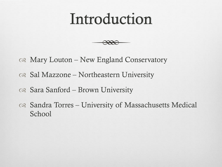#### Introduction



- Mary Louton New England Conservatory
- $\alpha$  Sal Mazzone Northeastern University
- Sara Sanford Brown University
- Sandra Torres University of Massachusetts Medical **School**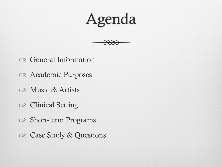## Agenda



- General Information
- Academic Purposes
- os Music & Artists
- os Clinical Setting
- os Short-term Programs
- Case Study & Questions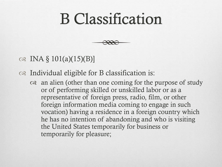### B Classification

#### $\alpha$  INA  $\S 101(a)(15)(B)$ ]

#### Individual eligible for B classification is:

 $\infty$  an alien (other than one coming for the purpose of study or of performing skilled or unskilled labor or as a representative of foreign press, radio, film, or other foreign information media coming to engage in such vocation) having a residence in a foreign country which he has no intention of abandoning and who is visiting the United States temporarily for business or temporarily for pleasure;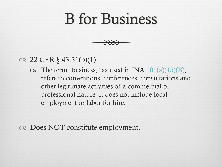### B for Business

#### $\alpha$  22 CFR § 43.31(b)(1)

 $\alpha$  The term "business," as used in INA  $101(a)(15)(B)$ , refers to conventions, conferences, consultations and other legitimate activities of a commercial or professional nature. It does not include local employment or labor for hire.

 $\infty$  Does NOT constitute employment.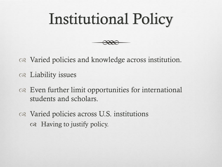## Institutional Policy

 $\alpha$  Varied policies and knowledge across institution.

os Liability issues

- on Even further limit opportunities for international students and scholars.
- os Varied policies across U.S. institutions Having to justify policy.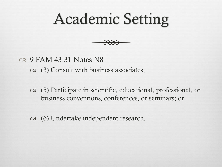

- **⊙8** 9 FAM 43.31 Notes N8  $\infty$  (3) Consult with business associates;
	- (5) Participate in scientific, educational, professional, or business conventions, conferences, or seminars; or
	- (6) Undertake independent research.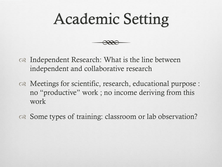os Independent Research: What is the line between independent and collaborative research

- Meetings for scientific, research, educational purpose : no "productive" work ; no income deriving from this work
- $\infty$  Some types of training: classroom or lab observation?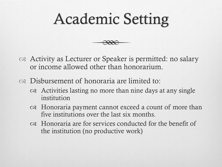- $\alpha$  Activity as Lecturer or Speaker is permitted: no salary or income allowed other than honorarium.
- Disbursement of honoraria are limited to:
	- Activities lasting no more than nine days at any single institution
	- Honoraria payment cannot exceed a count of more than five institutions over the last six months.
	- Honoraria are for services conducted for the benefit of the institution (no productive work)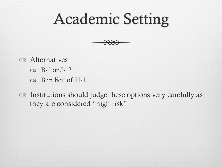

os Alternatives  $\alpha$  B-1 or J-1?  $\infty$  B in lieu of H-1

 Institutions should judge these options very carefully as they are considered "high risk".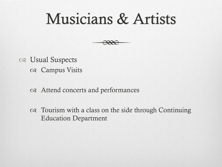#### Musicians & Artists



- os Usual Suspects Campus Visits
	- Attend concerts and performances
	- Tourism with a class on the side through Continuing Education Department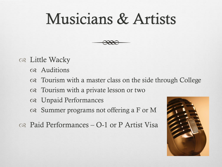### Musicians & Artists



os Little Wacky

os Auditions

- Tourism with a master class on the side through College
- Tourism with a private lesson or two
- Unpaid Performances
- $\infty$  Summer programs not offering a F or M
- $\infty$  Paid Performances O-1 or P Artist Visa

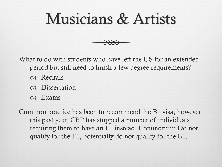### Musicians & Artists

What to do with students who have left the US for an extended period but still need to finish a few degree requirements?

- os Recitals
- os Dissertation
- o<sub>8</sub> Exams

Common practice has been to recommend the B1 visa; however this past year, CBP has stopped a number of individuals requiring them to have an F1 instead. Conundrum: Do not qualify for the F1, potentially do not qualify for the B1.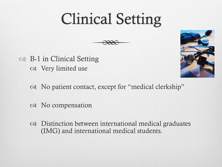

- B-1 in Clinical Setting Very limited use
	- No patient contact, except for "medical clerkship"
	- No compensation
	- Distinction between international medical graduates (IMG) and international medical students.

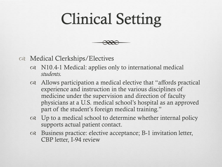#### Medical Clerkships/Electives

- $\infty$  N10.4-1 Medical: applies only to international medical *students.*
- Allows participation a medical elective that "affords practical experience and instruction in the various disciplines of medicine under the supervision and direction of faculty physicians at a U.S. medical school's hospital as an approved part of the student's foreign medical training."
- $\infty$  Up to a medical school to determine whether internal policy supports actual patient contact.
- Business practice: elective acceptance; B-1 invitation letter, CBP letter, I-94 review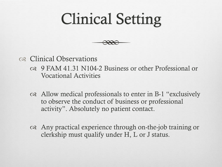

#### os Clinical Observations

- 9 FAM 41.31 N104-2 Business or other Professional or Vocational Activities
- Allow medical professionals to enter in B-1 "exclusively to observe the conduct of business or professional activity". Absolutely no patient contact.
- Any practical experience through on-the-job training or clerkship must qualify under H, L or J status.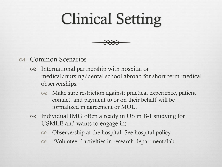

#### os Common Scenarios

- International partnership with hospital or medical/nursing/dental school abroad for short-term medical observerships.
	- ora Make sure restriction against: practical experience, patient contact, and payment to or on their behalf will be formalized in agreement or MOU.
- Individual IMG often already in US in B-1 studying for USMLE and wants to engage in:
	- Observership at the hospital. See hospital policy.
	- "Volunteer" activities in research department/lab.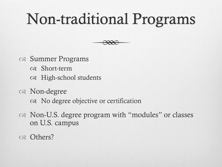## Non-traditional Programs



- os Summer Programs
	- Short-term
	- High-school students
- os Non-degree
	- No degree objective or certification
- Non-U.S. degree program with "modules" or classes on U.S. campus
- os Others?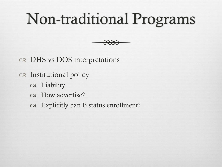## Non-traditional Programs

- or DHS vs DOS interpretations
- Institutional policy
	- Liability
	- How advertise?
	- os Explicitly ban B status enrollment?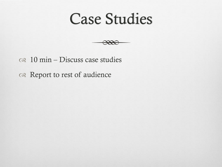#### Case Studies



 $\infty$  10 min – Discuss case studies

a Report to rest of audience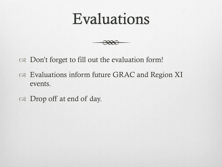### Evaluations



Don't forget to fill out the evaluation form!

os Evaluations inform future GRAC and Region XI events.

or Drop off at end of day.